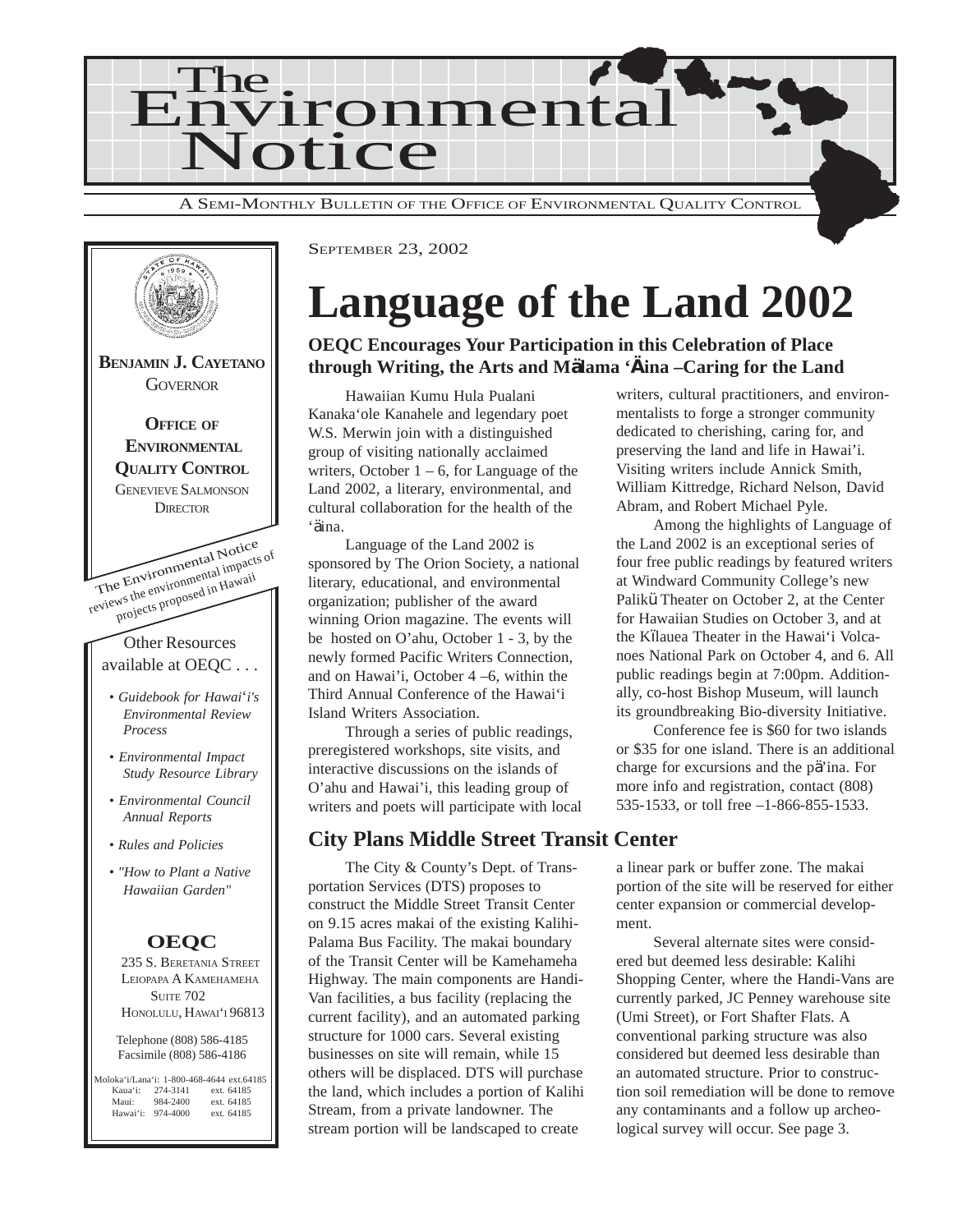



# **Language of the Land 2002**

**OEQC Encourages Your Participation in this Celebration of Place through Writing, the Arts and Mälama 'Äina –Caring for the Land**

Hawaiian Kumu Hula Pualani Kanaka'ole Kanahele and legendary poet W.S. Merwin join with a distinguished group of visiting nationally acclaimed writers, October  $1 - 6$ , for Language of the Land 2002, a literary, environmental, and cultural collaboration for the health of the 'äina.

Language of the Land 2002 is sponsored by The Orion Society, a national literary, educational, and environmental organization; publisher of the award winning Orion magazine. The events will be hosted on O'ahu, October 1 - 3, by the newly formed Pacific Writers Connection, and on Hawai'i, October 4 –6, within the Third Annual Conference of the Hawai'i Island Writers Association.

Through a series of public readings, preregistered workshops, site visits, and interactive discussions on the islands of O'ahu and Hawai'i, this leading group of writers and poets will participate with local

#### **City Plans Middle Street Transit Center**

The City & County's Dept. of Transportation Services (DTS) proposes to construct the Middle Street Transit Center on 9.15 acres makai of the existing Kalihi-Palama Bus Facility. The makai boundary of the Transit Center will be Kamehameha Highway. The main components are Handi-Van facilities, a bus facility (replacing the current facility), and an automated parking structure for 1000 cars. Several existing businesses on site will remain, while 15 others will be displaced. DTS will purchase the land, which includes a portion of Kalihi Stream, from a private landowner. The stream portion will be landscaped to create

writers, cultural practitioners, and environmentalists to forge a stronger community dedicated to cherishing, caring for, and preserving the land and life in Hawai'i. Visiting writers include Annick Smith, William Kittredge, Richard Nelson, David Abram, and Robert Michael Pyle.

Among the highlights of Language of the Land 2002 is an exceptional series of four free public readings by featured writers at Windward Community College's new Palikü Theater on October 2, at the Center for Hawaiian Studies on October 3, and at the Kïlauea Theater in the Hawai'i Volcanoes National Park on October 4, and 6. All public readings begin at 7:00pm. Additionally, co-host Bishop Museum, will launch its groundbreaking Bio-diversity Initiative.

Conference fee is \$60 for two islands or \$35 for one island. There is an additional charge for excursions and the pä'ina. For more info and registration, contact (808) 535-1533, or toll free –1-866-855-1533.

a linear park or buffer zone. The makai portion of the site will be reserved for either center expansion or commercial development.

Several alternate sites were considered but deemed less desirable: Kalihi Shopping Center, where the Handi-Vans are currently parked, JC Penney warehouse site (Umi Street), or Fort Shafter Flats. A conventional parking structure was also considered but deemed less desirable than an automated structure. Prior to construction soil remediation will be done to remove any contaminants and a follow up archeological survey will occur. See page 3.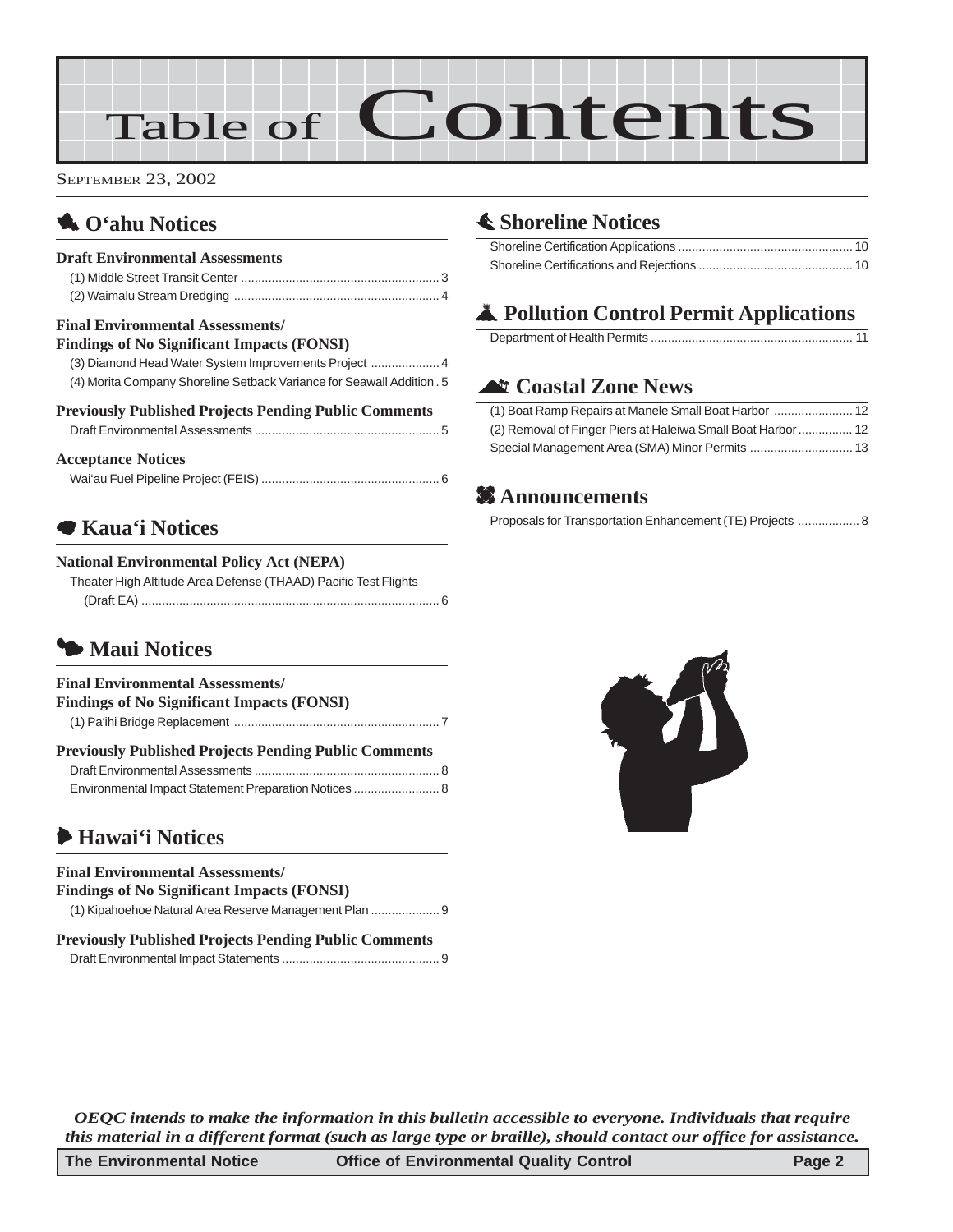# Table of Contents

SEPTEMBER 23, 2002

# 1 **O'ahu Notices**

# **Draft Environmental Assessments**

#### **Final Environmental Assessments/**

| <b>Findings of No Significant Impacts (FONSI)</b>                      |
|------------------------------------------------------------------------|
|                                                                        |
| (4) Morita Company Shoreline Setback Variance for Seawall Addition . 5 |
| <b>Previously Published Projects Pending Public Comments</b>           |
|                                                                        |
| <b>Acceptance Notices</b>                                              |
|                                                                        |

# 7 **Kaua'i Notices**

#### **National Environmental Policy Act (NEPA)**

| Theater High Altitude Area Defense (THAAD) Pacific Test Flights |  |
|-----------------------------------------------------------------|--|
|                                                                 |  |

# 3 **Maui Notices**

| <b>Final Environmental Assessments/</b>                      |  |
|--------------------------------------------------------------|--|
| <b>Findings of No Significant Impacts (FONSI)</b>            |  |
|                                                              |  |
| <b>Previously Published Projects Pending Public Comments</b> |  |
|                                                              |  |
| Environmental Impact Statement Preparation Notices  8        |  |

# 6 **Hawai'i Notices**

#### **Final Environmental Assessments/**

| <b>Findings of No Significant Impacts (FONSI)</b>            |
|--------------------------------------------------------------|
|                                                              |
| <b>Draviously Dublished Drajects Dending Dublic Comments</b> |

| <b>Previously Published Projects Pending Public Comments</b> |  |
|--------------------------------------------------------------|--|
|                                                              |  |

# s **Shoreline Notices**

# V **Pollution Control Permit Applications**

# ^ **Coastal Zone News**

| (2) Removal of Finger Piers at Haleiwa Small Boat Harbor  12 |  |
|--------------------------------------------------------------|--|
|                                                              |  |

# **2** Announcements

Proposals for Transportation Enhancement (TE) Projects .................. 8



*OEQC intends to make the information in this bulletin accessible to everyone. Individuals that require this material in a different format (such as large type or braille), should contact our office for assistance.*

| The Environmental Notice | <b>Office of Environmental Quality Control</b> | Page 2 |
|--------------------------|------------------------------------------------|--------|
|--------------------------|------------------------------------------------|--------|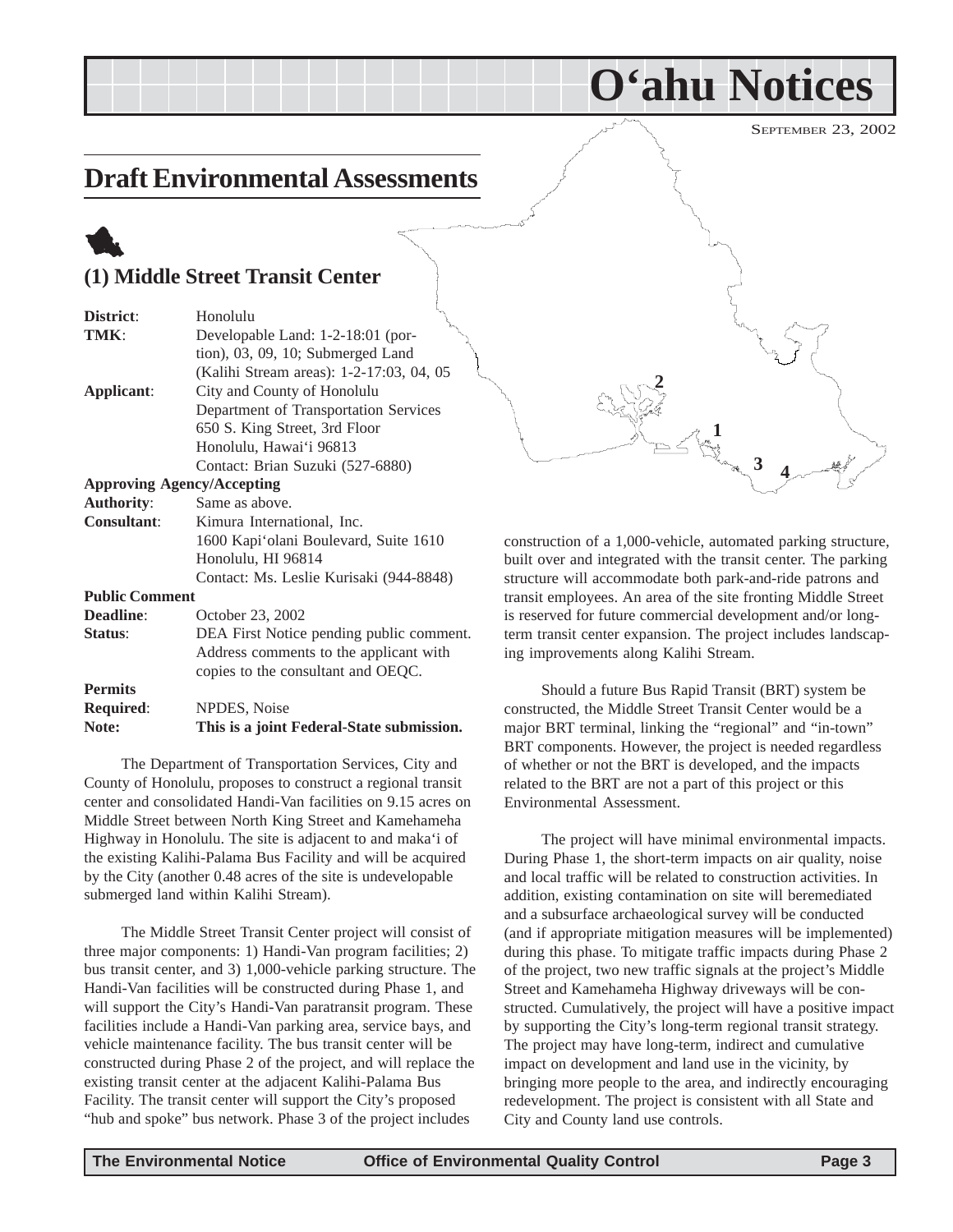# <span id="page-2-0"></span>**Draft Environmental Assessments**

# 1 **(1) Middle Street Transit Center**

| District:             | Honolulu                                  |
|-----------------------|-------------------------------------------|
| TMK:                  | Developable Land: 1-2-18:01 (por-         |
|                       | tion), 03, 09, 10; Submerged Land         |
|                       | (Kalihi Stream areas): 1-2-17:03, 04, 05  |
| Applicant:            | City and County of Honolulu               |
|                       | Department of Transportation Services     |
|                       | 650 S. King Street, 3rd Floor             |
|                       | Honolulu, Hawai'i 96813                   |
|                       | Contact: Brian Suzuki (527-6880)          |
|                       | <b>Approving Agency/Accepting</b>         |
| <b>Authority:</b>     | Same as above.                            |
| <b>Consultant:</b>    | Kimura International, Inc.                |
|                       | 1600 Kapi'olani Boulevard, Suite 1610     |
|                       | Honolulu, HI 96814                        |
|                       | Contact: Ms. Leslie Kurisaki (944-8848)   |
| <b>Public Comment</b> |                                           |
| Deadline:             | October 23, 2002                          |
| Status:               | DEA First Notice pending public comment.  |
|                       | Address comments to the applicant with    |
|                       | copies to the consultant and OEQC.        |
| <b>Permits</b>        |                                           |
| <b>Required:</b>      | NPDES, Noise                              |
| Note:                 | This is a joint Federal-State submission. |
|                       |                                           |

The Department of Transportation Services, City and County of Honolulu, proposes to construct a regional transit center and consolidated Handi-Van facilities on 9.15 acres on Middle Street between North King Street and Kamehameha Highway in Honolulu. The site is adjacent to and maka'i of the existing Kalihi-Palama Bus Facility and will be acquired by the City (another 0.48 acres of the site is undevelopable submerged land within Kalihi Stream).

The Middle Street Transit Center project will consist of three major components: 1) Handi-Van program facilities; 2) bus transit center, and 3) 1,000-vehicle parking structure. The Handi-Van facilities will be constructed during Phase 1, and will support the City's Handi-Van paratransit program. These facilities include a Handi-Van parking area, service bays, and vehicle maintenance facility. The bus transit center will be constructed during Phase 2 of the project, and will replace the existing transit center at the adjacent Kalihi-Palama Bus Facility. The transit center will support the City's proposed "hub and spoke" bus network. Phase 3 of the project includes



**O'ahu Notices**

construction of a 1,000-vehicle, automated parking structure, built over and integrated with the transit center. The parking structure will accommodate both park-and-ride patrons and transit employees. An area of the site fronting Middle Street is reserved for future commercial development and/or longterm transit center expansion. The project includes landscaping improvements along Kalihi Stream.

Should a future Bus Rapid Transit (BRT) system be constructed, the Middle Street Transit Center would be a major BRT terminal, linking the "regional" and "in-town" BRT components. However, the project is needed regardless of whether or not the BRT is developed, and the impacts related to the BRT are not a part of this project or this Environmental Assessment.

The project will have minimal environmental impacts. During Phase 1, the short-term impacts on air quality, noise and local traffic will be related to construction activities. In addition, existing contamination on site will beremediated and a subsurface archaeological survey will be conducted (and if appropriate mitigation measures will be implemented) during this phase. To mitigate traffic impacts during Phase 2 of the project, two new traffic signals at the project's Middle Street and Kamehameha Highway driveways will be constructed. Cumulatively, the project will have a positive impact by supporting the City's long-term regional transit strategy. The project may have long-term, indirect and cumulative impact on development and land use in the vicinity, by bringing more people to the area, and indirectly encouraging redevelopment. The project is consistent with all State and City and County land use controls.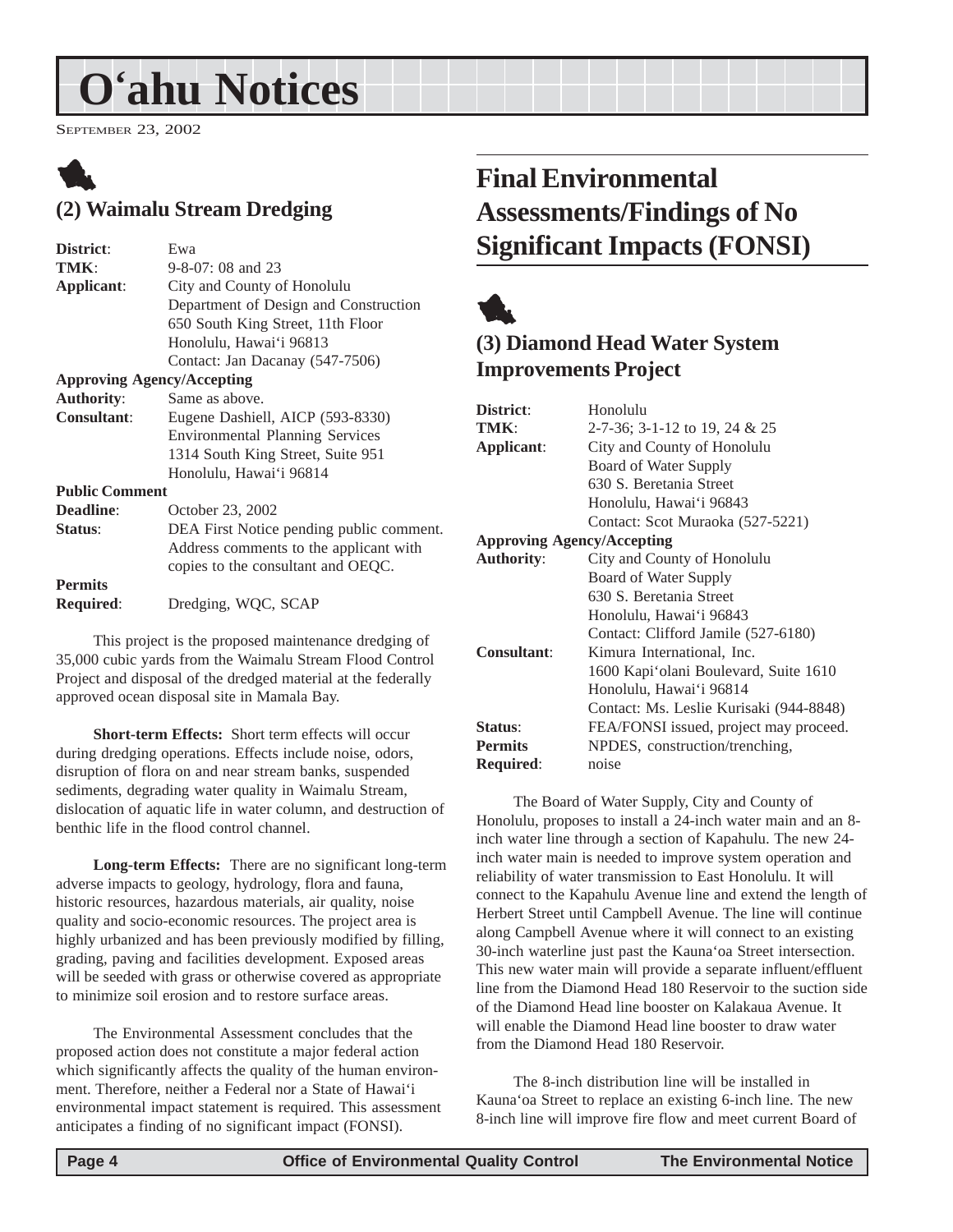# <span id="page-3-0"></span>**O'ahu Notices**

SEPTEMBER 23, 2002

# 1 **(2) Waimalu Stream Dredging**

| District:                         | Ewa                                      |
|-----------------------------------|------------------------------------------|
| TMK:                              | $9 - 8 - 07$ : 08 and 23                 |
| Applicant:                        | City and County of Honolulu              |
|                                   | Department of Design and Construction    |
|                                   | 650 South King Street, 11th Floor        |
|                                   | Honolulu, Hawai'i 96813                  |
|                                   | Contact: Jan Dacanay (547-7506)          |
| <b>Approving Agency/Accepting</b> |                                          |
| <b>Authority:</b>                 | Same as above.                           |
| <b>Consultant:</b>                | Eugene Dashiell, AICP (593-8330)         |
|                                   | <b>Environmental Planning Services</b>   |
|                                   | 1314 South King Street, Suite 951        |
|                                   | Honolulu, Hawai'i 96814                  |
| <b>Public Comment</b>             |                                          |
| Deadline:                         | October 23, 2002                         |
| Status:                           | DEA First Notice pending public comment. |
|                                   | Address comments to the applicant with   |
|                                   | copies to the consultant and OEQC.       |
| <b>Permits</b>                    |                                          |
| <b>Required:</b>                  | Dredging, WQC, SCAP                      |
|                                   |                                          |

This project is the proposed maintenance dredging of 35,000 cubic yards from the Waimalu Stream Flood Control Project and disposal of the dredged material at the federally approved ocean disposal site in Mamala Bay.

**Short-term Effects:** Short term effects will occur during dredging operations. Effects include noise, odors, disruption of flora on and near stream banks, suspended sediments, degrading water quality in Waimalu Stream, dislocation of aquatic life in water column, and destruction of benthic life in the flood control channel.

**Long-term Effects:** There are no significant long-term adverse impacts to geology, hydrology, flora and fauna, historic resources, hazardous materials, air quality, noise quality and socio-economic resources. The project area is highly urbanized and has been previously modified by filling, grading, paving and facilities development. Exposed areas will be seeded with grass or otherwise covered as appropriate to minimize soil erosion and to restore surface areas.

The Environmental Assessment concludes that the proposed action does not constitute a major federal action which significantly affects the quality of the human environment. Therefore, neither a Federal nor a State of Hawai'i environmental impact statement is required. This assessment anticipates a finding of no significant impact (FONSI).

# **Final Environmental Assessments/Findings of No Significant Impacts (FONSI)**



# **(3) Diamond Head Water System Improvements Project**

| Honolulu                                |
|-----------------------------------------|
| 2-7-36; 3-1-12 to 19, 24 & 25           |
| City and County of Honolulu             |
| Board of Water Supply                   |
| 630 S. Beretania Street                 |
| Honolulu, Hawai'i 96843                 |
| Contact: Scot Muraoka (527-5221)        |
| <b>Approving Agency/Accepting</b>       |
| City and County of Honolulu             |
| Board of Water Supply                   |
| 630 S. Beretania Street                 |
| Honolulu, Hawai'i 96843                 |
| Contact: Clifford Jamile (527-6180)     |
| Kimura International, Inc.              |
| 1600 Kapi'olani Boulevard, Suite 1610   |
| Honolulu, Hawai'i 96814                 |
| Contact: Ms. Leslie Kurisaki (944-8848) |
| FEA/FONSI issued, project may proceed.  |
| NPDES, construction/trenching,          |
| noise                                   |
|                                         |

The Board of Water Supply, City and County of Honolulu, proposes to install a 24-inch water main and an 8 inch water line through a section of Kapahulu. The new 24 inch water main is needed to improve system operation and reliability of water transmission to East Honolulu. It will connect to the Kapahulu Avenue line and extend the length of Herbert Street until Campbell Avenue. The line will continue along Campbell Avenue where it will connect to an existing 30-inch waterline just past the Kauna'oa Street intersection. This new water main will provide a separate influent/effluent line from the Diamond Head 180 Reservoir to the suction side of the Diamond Head line booster on Kalakaua Avenue. It will enable the Diamond Head line booster to draw water from the Diamond Head 180 Reservoir.

The 8-inch distribution line will be installed in Kauna'oa Street to replace an existing 6-inch line. The new 8-inch line will improve fire flow and meet current Board of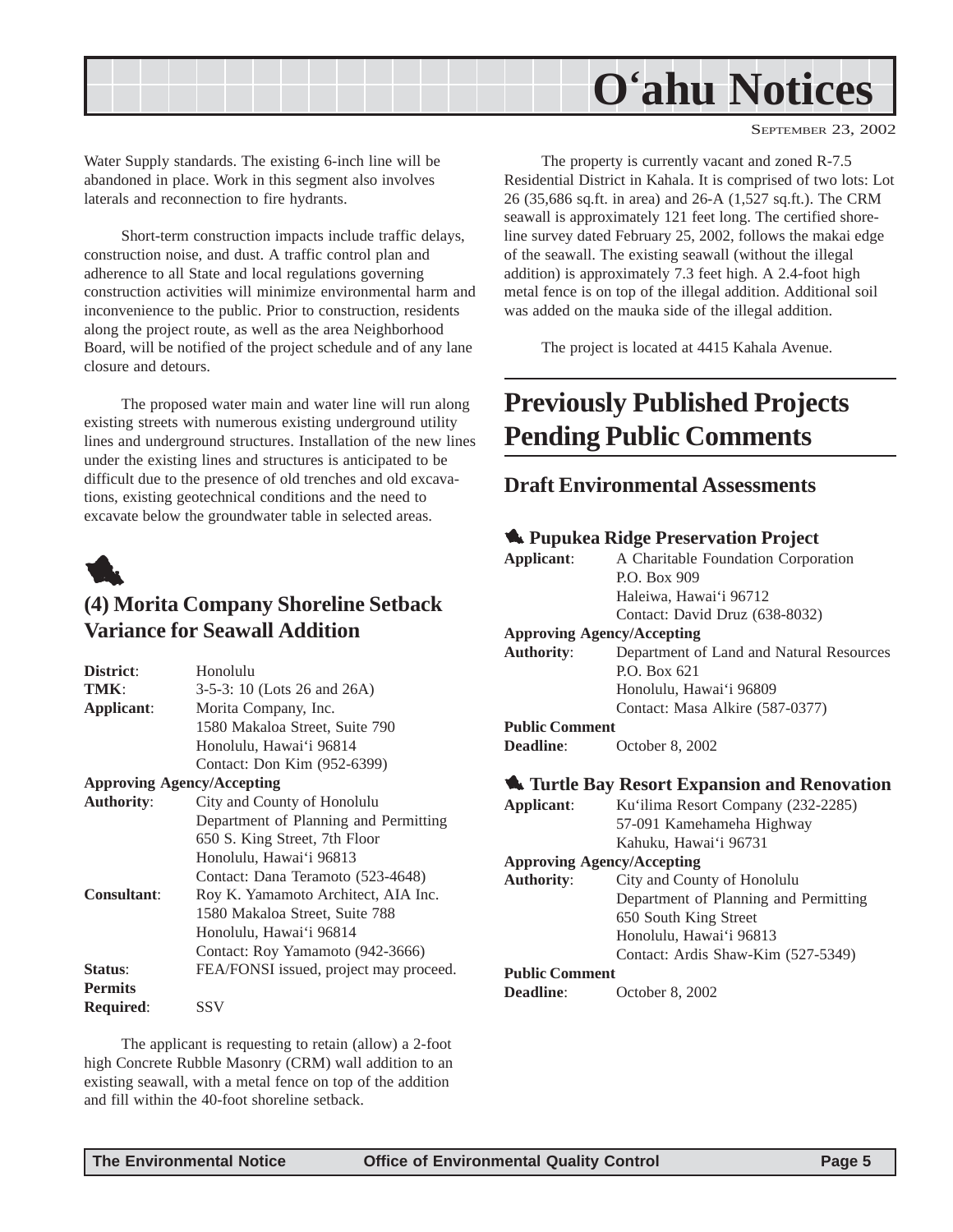<span id="page-4-0"></span>

Water Supply standards. The existing 6-inch line will be abandoned in place. Work in this segment also involves laterals and reconnection to fire hydrants.

Short-term construction impacts include traffic delays, construction noise, and dust. A traffic control plan and adherence to all State and local regulations governing construction activities will minimize environmental harm and inconvenience to the public. Prior to construction, residents along the project route, as well as the area Neighborhood Board, will be notified of the project schedule and of any lane closure and detours.

The proposed water main and water line will run along existing streets with numerous existing underground utility lines and underground structures. Installation of the new lines under the existing lines and structures is anticipated to be difficult due to the presence of old trenches and old excavations, existing geotechnical conditions and the need to excavate below the groundwater table in selected areas.



# **(4) Morita Company Shoreline Setback Variance for Seawall Addition**

| District:          | Honolulu                               |
|--------------------|----------------------------------------|
| TMK:               | 3-5-3: 10 (Lots 26 and 26A)            |
| Applicant:         | Morita Company, Inc.                   |
|                    | 1580 Makaloa Street, Suite 790         |
|                    | Honolulu, Hawai'i 96814                |
|                    | Contact: Don Kim (952-6399)            |
|                    | <b>Approving Agency/Accepting</b>      |
| <b>Authority:</b>  | City and County of Honolulu            |
|                    | Department of Planning and Permitting  |
|                    | 650 S. King Street, 7th Floor          |
|                    | Honolulu, Hawai'i 96813                |
|                    | Contact: Dana Teramoto (523-4648)      |
| <b>Consultant:</b> | Roy K. Yamamoto Architect, AIA Inc.    |
|                    | 1580 Makaloa Street, Suite 788         |
|                    | Honolulu, Hawai'i 96814                |
|                    | Contact: Roy Yamamoto (942-3666)       |
| Status:            | FEA/FONSI issued, project may proceed. |
| <b>Permits</b>     |                                        |
| <b>Required:</b>   | SSV                                    |

The applicant is requesting to retain (allow) a 2-foot high Concrete Rubble Masonry (CRM) wall addition to an existing seawall, with a metal fence on top of the addition and fill within the 40-foot shoreline setback.

The property is currently vacant and zoned R-7.5 Residential District in Kahala. It is comprised of two lots: Lot 26 (35,686 sq.ft. in area) and 26-A (1,527 sq.ft.). The CRM seawall is approximately 121 feet long. The certified shoreline survey dated February 25, 2002, follows the makai edge of the seawall. The existing seawall (without the illegal addition) is approximately 7.3 feet high. A 2.4-foot high metal fence is on top of the illegal addition. Additional soil was added on the mauka side of the illegal addition.

The project is located at 4415 Kahala Avenue.

# **Previously Published Projects Pending Public Comments**

#### **Draft Environmental Assessments**

#### 1 **Pupukea Ridge Preservation Project**

| Applicant:            | A Charitable Foundation Corporation                  |
|-----------------------|------------------------------------------------------|
|                       | P.O. Box 909                                         |
|                       | Haleiwa, Hawai'i 96712                               |
|                       | Contact: David Druz (638-8032)                       |
|                       | <b>Approving Agency/Accepting</b>                    |
| <b>Authority:</b>     | Department of Land and Natural Resources             |
|                       | P.O. Box 621                                         |
|                       | Honolulu, Hawai'i 96809                              |
|                       | Contact: Masa Alkire (587-0377)                      |
| <b>Public Comment</b> |                                                      |
| <b>Deadline:</b>      | October 8, 2002                                      |
|                       |                                                      |
|                       | <b>W.</b> Turtle Bay Resort Expansion and Renovation |
| Applicant:            | Ku'ilima Resort Company (232-2285)                   |
|                       |                                                      |
|                       |                                                      |
|                       | 57-091 Kamehameha Highway<br>Kahuku, Hawai'i 96731   |
|                       |                                                      |
|                       | <b>Approving Agency/Accepting</b>                    |
| <b>Authority:</b>     | City and County of Honolulu                          |
|                       | Department of Planning and Permitting                |
|                       | 650 South King Street<br>Honolulu, Hawai'i 96813     |
|                       |                                                      |
| <b>Public Comment</b> | Contact: Ardis Shaw-Kim (527-5349)                   |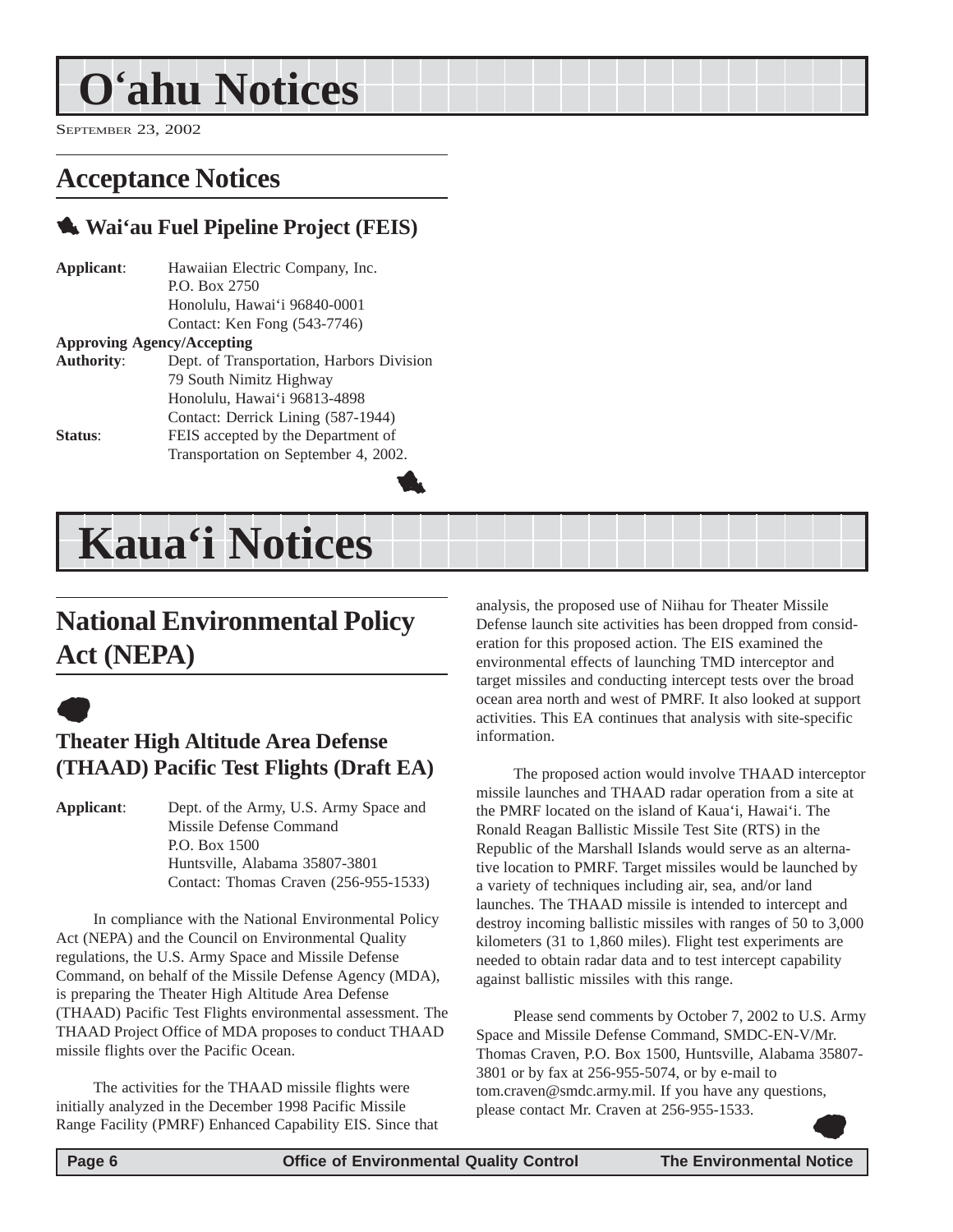# <span id="page-5-0"></span>**O'ahu Notices**

SEPTEMBER 23, 2002

# **Acceptance Notices**

# 1 **Wai'au Fuel Pipeline Project (FEIS)**

**Applicant**: Hawaiian Electric Company, Inc. P.O. Box 2750 Honolulu, Hawai'i 96840-0001 Contact: Ken Fong (543-7746)

#### **Approving Agency/Accepting**

| <b>Authority:</b> | Dept. of Transportation, Harbors Division |
|-------------------|-------------------------------------------|
|                   | 79 South Nimitz Highway                   |
|                   | Honolulu, Hawai'i 96813-4898              |
|                   | Contact: Derrick Lining (587-1944)        |
| Status:           | FEIS accepted by the Department of        |
|                   | Transportation on September 4, 2002.      |
|                   |                                           |

# **Kaua'i Notices**

# **National Environmental Policy Act (NEPA)**

# $\bullet$

## **Theater High Altitude Area Defense (THAAD) Pacific Test Flights (Draft EA)**

**Applicant**: Dept. of the Army, U.S. Army Space and Missile Defense Command P.O. Box 1500 Huntsville, Alabama 35807-3801 Contact: Thomas Craven (256-955-1533)

In compliance with the National Environmental Policy Act (NEPA) and the Council on Environmental Quality regulations, the U.S. Army Space and Missile Defense Command, on behalf of the Missile Defense Agency (MDA), is preparing the Theater High Altitude Area Defense (THAAD) Pacific Test Flights environmental assessment. The THAAD Project Office of MDA proposes to conduct THAAD missile flights over the Pacific Ocean.

The activities for the THAAD missile flights were initially analyzed in the December 1998 Pacific Missile Range Facility (PMRF) Enhanced Capability EIS. Since that analysis, the proposed use of Niihau for Theater Missile Defense launch site activities has been dropped from consideration for this proposed action. The EIS examined the environmental effects of launching TMD interceptor and target missiles and conducting intercept tests over the broad ocean area north and west of PMRF. It also looked at support activities. This EA continues that analysis with site-specific information.

The proposed action would involve THAAD interceptor missile launches and THAAD radar operation from a site at the PMRF located on the island of Kaua'i, Hawai'i. The Ronald Reagan Ballistic Missile Test Site (RTS) in the Republic of the Marshall Islands would serve as an alternative location to PMRF. Target missiles would be launched by a variety of techniques including air, sea, and/or land launches. The THAAD missile is intended to intercept and destroy incoming ballistic missiles with ranges of 50 to 3,000 kilometers (31 to 1,860 miles). Flight test experiments are needed to obtain radar data and to test intercept capability against ballistic missiles with this range.

Please send comments by October 7, 2002 to U.S. Army Space and Missile Defense Command, SMDC-EN-V/Mr. Thomas Craven, P.O. Box 1500, Huntsville, Alabama 35807- 3801 or by fax at 256-955-5074, or by e-mail to tom.craven@smdc.army.mil. If you have any questions, please contact Mr. Craven at 256-955-1533.  $\bullet$ 

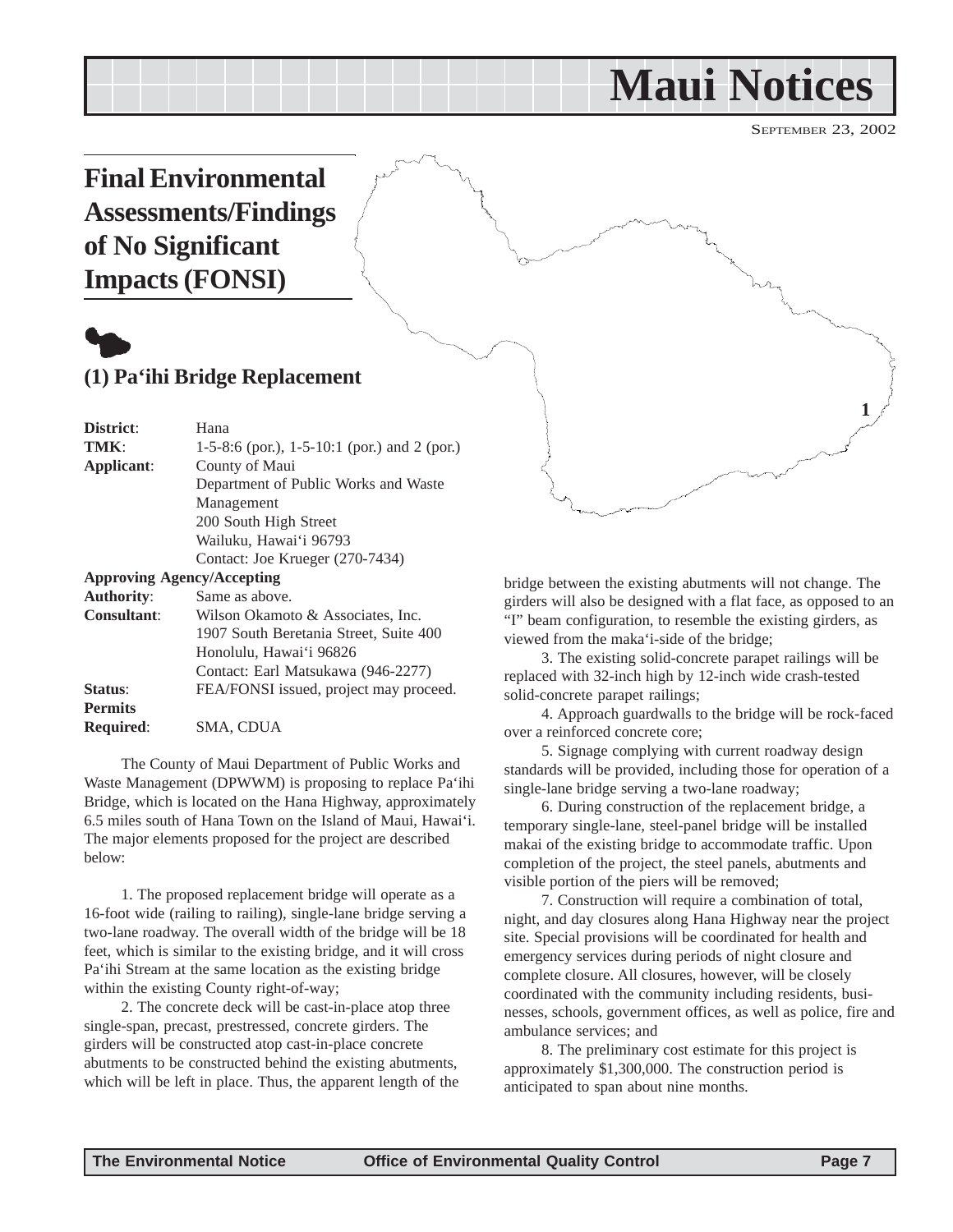# **Maui Notices**

SEPTEMBER 23, 2002

# <span id="page-6-0"></span>**Final Environmental 1**

bridge between the existing abutments will not change. The girders will also be designed with a flat face, as opposed to an "I" beam configuration, to resemble the existing girders, as viewed from the maka'i-side of the bridge;

> 3. The existing solid-concrete parapet railings will be replaced with 32-inch high by 12-inch wide crash-tested solid-concrete parapet railings;

4. Approach guardwalls to the bridge will be rock-faced over a reinforced concrete core;

5. Signage complying with current roadway design standards will be provided, including those for operation of a single-lane bridge serving a two-lane roadway;

6. During construction of the replacement bridge, a temporary single-lane, steel-panel bridge will be installed makai of the existing bridge to accommodate traffic. Upon completion of the project, the steel panels, abutments and visible portion of the piers will be removed;

7. Construction will require a combination of total, night, and day closures along Hana Highway near the project site. Special provisions will be coordinated for health and emergency services during periods of night closure and complete closure. All closures, however, will be closely coordinated with the community including residents, businesses, schools, government offices, as well as police, fire and ambulance services; and

8. The preliminary cost estimate for this project is approximately \$1,300,000. The construction period is anticipated to span about nine months.

**Assessments/Findings of No Significant Impacts (FONSI)**



## **(1) Pa'ihi Bridge Replacement**

**District**: Hana **TMK**: 1-5-8:6 (por.), 1-5-10:1 (por.) and 2 (por.) **Applicant**: County of Maui Department of Public Works and Waste Management 200 South High Street Wailuku, Hawai'i 96793 Contact: Joe Krueger (270-7434) **Approving Agency/Accepting Authority**: Same as above. **Consultant**: Wilson Okamoto & Associates, Inc.

|                  | 1907 South Beretania Street, Suite 400 |
|------------------|----------------------------------------|
|                  | Honolulu, Hawai'i 96826                |
|                  | Contact: Earl Matsukawa (946-2277)     |
| Status:          | FEA/FONSI issued, project may proceed. |
| <b>Permits</b>   |                                        |
| <b>Required:</b> | SMA, CDUA                              |

The County of Maui Department of Public Works and Waste Management (DPWWM) is proposing to replace Pa'ihi Bridge, which is located on the Hana Highway, approximately 6.5 miles south of Hana Town on the Island of Maui, Hawai'i. The major elements proposed for the project are described below:

1. The proposed replacement bridge will operate as a 16-foot wide (railing to railing), single-lane bridge serving a two-lane roadway. The overall width of the bridge will be 18 feet, which is similar to the existing bridge, and it will cross Pa'ihi Stream at the same location as the existing bridge within the existing County right-of-way;

2. The concrete deck will be cast-in-place atop three single-span, precast, prestressed, concrete girders. The girders will be constructed atop cast-in-place concrete abutments to be constructed behind the existing abutments, which will be left in place. Thus, the apparent length of the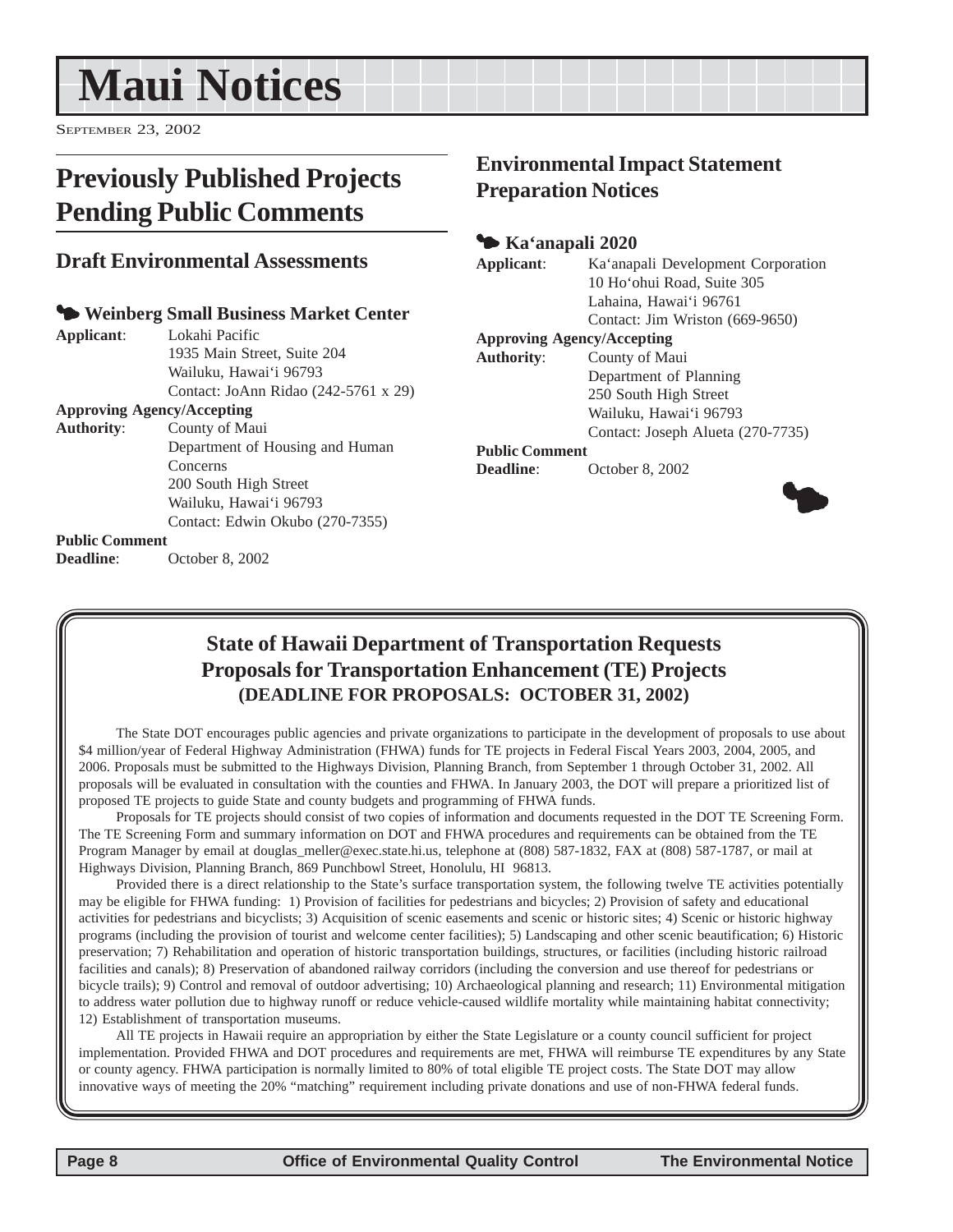# <span id="page-7-0"></span>**Maui Notices**

SEPTEMBER 23, 2002

# **Previously Published Projects Pending Public Comments**

#### **Draft Environmental Assessments**

#### 3 **Weinberg Small Business Market Center**

**Applicant**: Lokahi Pacific 1935 Main Street, Suite 204 Wailuku, Hawai'i 96793 Contact: JoAnn Ridao (242-5761 x 29) **Approving Agency/Accepting Authority**: County of Maui

Department of Housing and Human Concerns 200 South High Street Wailuku, Hawai'i 96793 Contact: Edwin Okubo (270-7355)

#### **Public Comment**

**Deadline**: October 8, 2002

# **Environmental Impact Statement Preparation Notices**

#### 3 **Ka'anapali 2020**

**Applicant**: Ka'anapali Development Corporation

Lahaina, Hawai'i 96761 Contact: Jim Wriston (669-9650)

10 Ho'ohui Road, Suite 305

**Approving Agency/Accepting**

**Authority**: County of Maui Department of Planning 250 South High Street Wailuku, Hawai'i 96793

Contact: Joseph Alueta (270-7735)

#### **Public Comment**

**Deadline**: October 8, 2002



## **State of Hawaii Department of Transportation Requests Proposals for Transportation Enhancement (TE) Projects (DEADLINE FOR PROPOSALS: OCTOBER 31, 2002)**

The State DOT encourages public agencies and private organizations to participate in the development of proposals to use about \$4 million/year of Federal Highway Administration (FHWA) funds for TE projects in Federal Fiscal Years 2003, 2004, 2005, and 2006. Proposals must be submitted to the Highways Division, Planning Branch, from September 1 through October 31, 2002. All proposals will be evaluated in consultation with the counties and FHWA. In January 2003, the DOT will prepare a prioritized list of proposed TE projects to guide State and county budgets and programming of FHWA funds.

Proposals for TE projects should consist of two copies of information and documents requested in the DOT TE Screening Form. The TE Screening Form and summary information on DOT and FHWA procedures and requirements can be obtained from the TE Program Manager by email at douglas meller@exec.state.hi.us, telephone at (808) 587-1832, FAX at (808) 587-1787, or mail at Highways Division, Planning Branch, 869 Punchbowl Street, Honolulu, HI 96813.

Provided there is a direct relationship to the State's surface transportation system, the following twelve TE activities potentially may be eligible for FHWA funding: 1) Provision of facilities for pedestrians and bicycles; 2) Provision of safety and educational activities for pedestrians and bicyclists; 3) Acquisition of scenic easements and scenic or historic sites; 4) Scenic or historic highway programs (including the provision of tourist and welcome center facilities); 5) Landscaping and other scenic beautification; 6) Historic preservation; 7) Rehabilitation and operation of historic transportation buildings, structures, or facilities (including historic railroad facilities and canals); 8) Preservation of abandoned railway corridors (including the conversion and use thereof for pedestrians or bicycle trails); 9) Control and removal of outdoor advertising; 10) Archaeological planning and research; 11) Environmental mitigation to address water pollution due to highway runoff or reduce vehicle-caused wildlife mortality while maintaining habitat connectivity; 12) Establishment of transportation museums.

All TE projects in Hawaii require an appropriation by either the State Legislature or a county council sufficient for project implementation. Provided FHWA and DOT procedures and requirements are met, FHWA will reimburse TE expenditures by any State or county agency. FHWA participation is normally limited to 80% of total eligible TE project costs. The State DOT may allow innovative ways of meeting the 20% "matching" requirement including private donations and use of non-FHWA federal funds.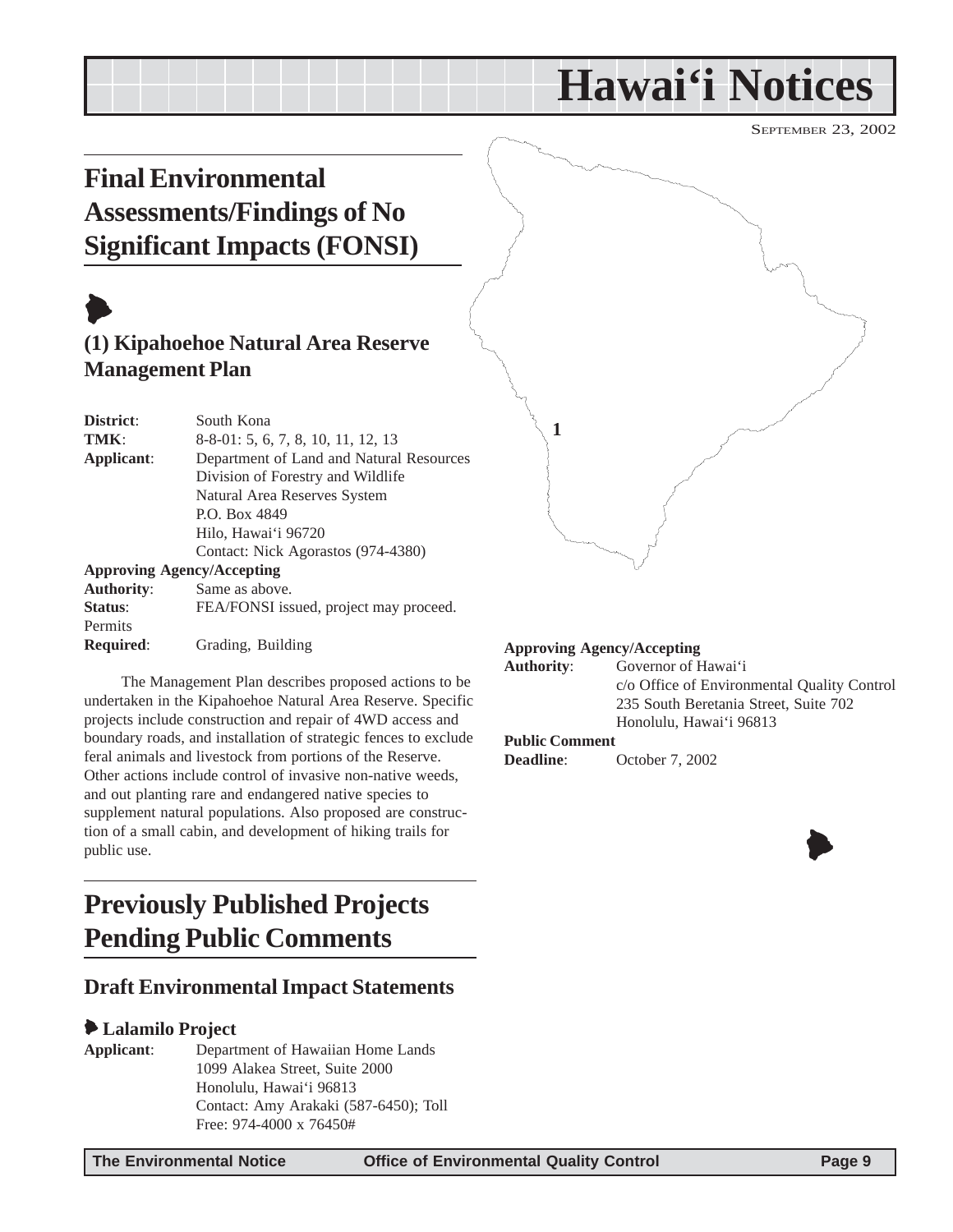# **Hawai'i Notices**

SEPTEMBER 23, 2002

# <span id="page-8-0"></span>**Final Environmental Assessments/Findings of No Significant Impacts (FONSI)**

# $\blacktriangleright$ **(1) Kipahoehoe Natural Area Reserve Management Plan**

| District:         | South Kona                               |
|-------------------|------------------------------------------|
| TMK:              | 8-8-01: 5, 6, 7, 8, 10, 11, 12, 13       |
| Applicant:        | Department of Land and Natural Resources |
|                   | Division of Forestry and Wildlife        |
|                   | Natural Area Reserves System             |
|                   | P.O. Box 4849                            |
|                   | Hilo, Hawai'i 96720                      |
|                   | Contact: Nick Agorastos (974-4380)       |
|                   | <b>Approving Agency/Accepting</b>        |
| <b>Authority:</b> | Same as above.                           |
| Status:           | FEA/FONSI issued, project may proceed.   |
| Permits           |                                          |

**Required**: Grading, Building

The Management Plan describes proposed actions to be undertaken in the Kipahoehoe Natural Area Reserve. Specific projects include construction and repair of 4WD access and boundary roads, and installation of strategic fences to exclude feral animals and livestock from portions of the Reserve. Other actions include control of invasive non-native weeds, and out planting rare and endangered native species to supplement natural populations. Also proposed are construction of a small cabin, and development of hiking trails for public use.

# **Previously Published Projects Pending Public Comments**

# **Draft Environmental Impact Statements**

#### 6 **Lalamilo Project**

**Applicant**: Department of Hawaiian Home Lands 1099 Alakea Street, Suite 2000 Honolulu, Hawai'i 96813 Contact: Amy Arakaki (587-6450); Toll Free: 974-4000 x 76450#

#### **Approving Agency/Accepting**

**Authority**: Governor of Hawai'i c/o Office of Environmental Quality Control 235 South Beretania Street, Suite 702 Honolulu, Hawai'i 96813 **Public Comment**

**1**

**Deadline**: October 7, 2002

 $\blacklozenge$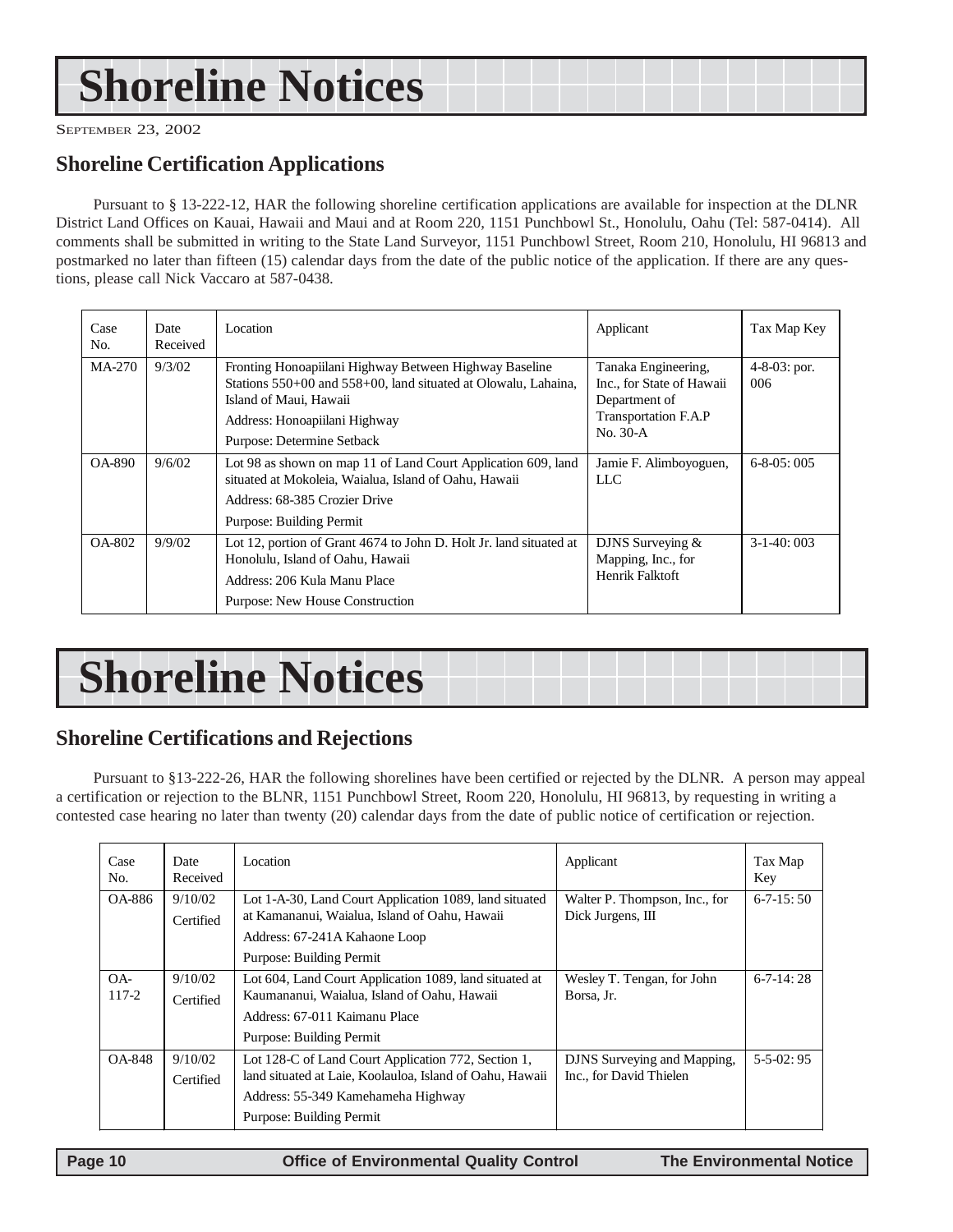# <span id="page-9-0"></span>**Shoreline Notices**

SEPTEMBER 23, 2002

## **Shoreline Certification Applications**

Pursuant to § 13-222-12, HAR the following shoreline certification applications are available for inspection at the DLNR District Land Offices on Kauai, Hawaii and Maui and at Room 220, 1151 Punchbowl St., Honolulu, Oahu (Tel: 587-0414). All comments shall be submitted in writing to the State Land Surveyor, 1151 Punchbowl Street, Room 210, Honolulu, HI 96813 and postmarked no later than fifteen (15) calendar days from the date of the public notice of the application. If there are any questions, please call Nick Vaccaro at 587-0438.

| Case<br>No. | Date<br>Received | Location                                                                                                                                                                                                          | Applicant                                                                                                    | Tax Map Key                |
|-------------|------------------|-------------------------------------------------------------------------------------------------------------------------------------------------------------------------------------------------------------------|--------------------------------------------------------------------------------------------------------------|----------------------------|
| MA-270      | 9/3/02           | Fronting Honoapiilani Highway Between Highway Baseline<br>Stations 550+00 and 558+00, land situated at Olowalu, Lahaina,<br>Island of Maui, Hawaii<br>Address: Honoapiilani Highway<br>Purpose: Determine Setback | Tanaka Engineering,<br>Inc., for State of Hawaii<br>Department of<br><b>Transportation F.A.P</b><br>No. 30-A | $4 - 8 - 03$ : por.<br>006 |
| OA-890      | 9/6/02           | Lot 98 as shown on map 11 of Land Court Application 609, land<br>situated at Mokoleia, Waialua, Island of Oahu, Hawaii<br>Address: 68-385 Crozier Drive<br>Purpose: Building Permit                               | Jamie F. Alimboyoguen,<br>LLC                                                                                | $6-8-05:005$               |
| OA-802      | 9/9/02           | Lot 12, portion of Grant 4674 to John D. Holt Jr. land situated at<br>Honolulu, Island of Oahu, Hawaii<br>Address: 206 Kula Manu Place<br>Purpose: New House Construction                                         | DJNS Surveying $&$<br>Mapping, Inc., for<br>Henrik Falktoft                                                  | $3-1-40:003$               |

# **Shoreline Notices**

# **Shoreline Certifications and Rejections**

Pursuant to §13-222-26, HAR the following shorelines have been certified or rejected by the DLNR. A person may appeal a certification or rejection to the BLNR, 1151 Punchbowl Street, Room 220, Honolulu, HI 96813, by requesting in writing a contested case hearing no later than twenty (20) calendar days from the date of public notice of certification or rejection.

| Case<br>No.     | Date<br>Received     | Location                                                                                                                                                                          | Applicant                                              | Tax Map<br>Key  |
|-----------------|----------------------|-----------------------------------------------------------------------------------------------------------------------------------------------------------------------------------|--------------------------------------------------------|-----------------|
| OA-886          | 9/10/02<br>Certified | Lot 1-A-30, Land Court Application 1089, land situated<br>at Kamananui, Waialua, Island of Oahu, Hawaii<br>Address: 67-241A Kahaone Loop<br>Purpose: Building Permit              | Walter P. Thompson, Inc., for<br>Dick Jurgens, III     | $6 - 7 - 15:50$ |
| $OA -$<br>117-2 | 9/10/02<br>Certified | Lot 604, Land Court Application 1089, land situated at<br>Kaumananui, Waialua, Island of Oahu, Hawaii<br>Address: 67-011 Kaimanu Place<br>Purpose: Building Permit                | Wesley T. Tengan, for John<br>Borsa, Jr.               | $6 - 7 - 14:28$ |
| <b>OA-848</b>   | 9/10/02<br>Certified | Lot 128-C of Land Court Application 772, Section 1,<br>land situated at Laie, Koolauloa, Island of Oahu, Hawaii<br>Address: 55-349 Kamehameha Highway<br>Purpose: Building Permit | DJNS Surveying and Mapping,<br>Inc., for David Thielen | $5-5-02:95$     |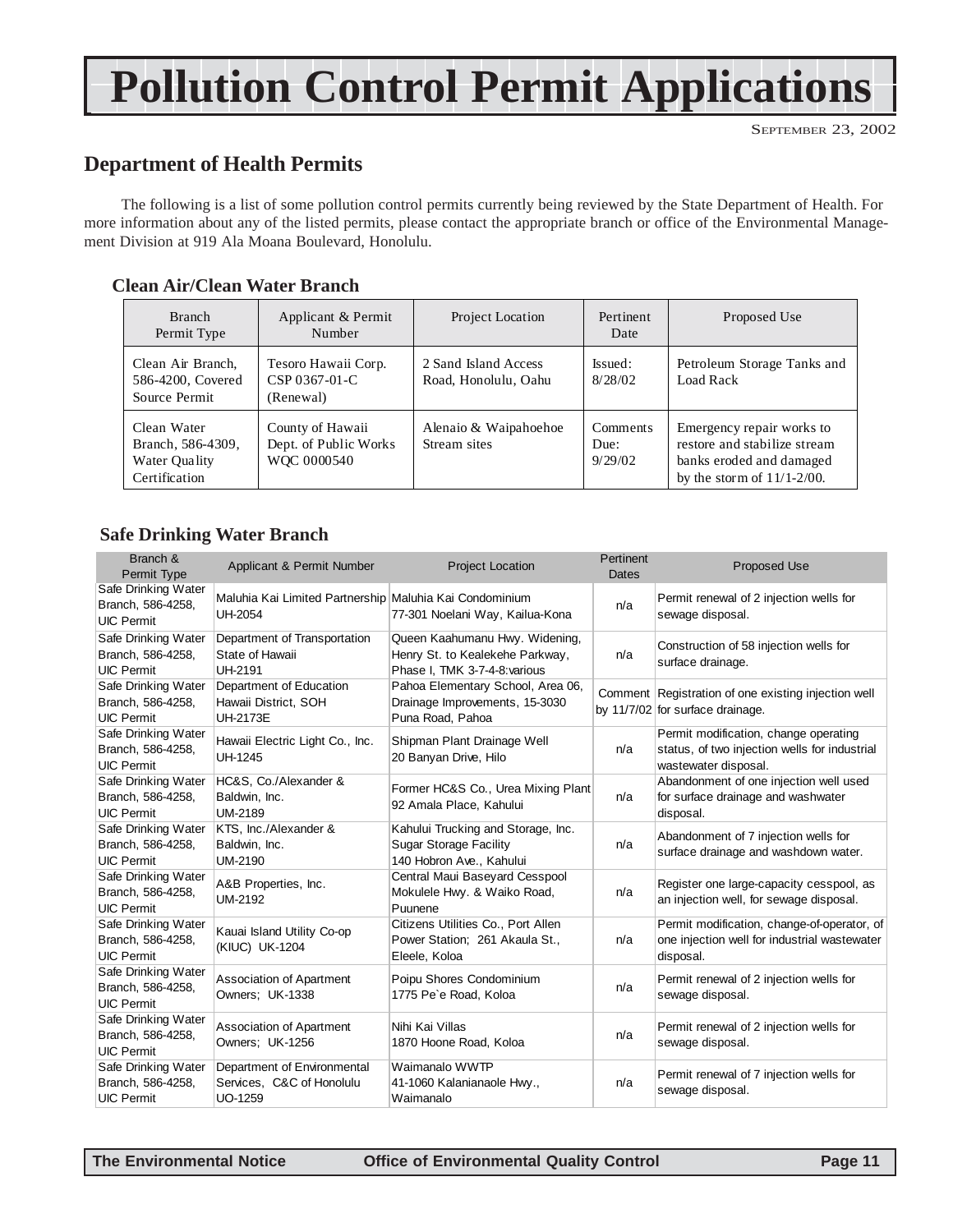# **Pollution Control Permit Applications**

## **Department of Health Permits**

The following is a list of some pollution control permits currently being reviewed by the State Department of Health. For more information about any of the listed permits, please contact the appropriate branch or office of the Environmental Management Division at 919 Ala Moana Boulevard, Honolulu.

#### **Clean Air/Clean Water Branch**

| <b>Branch</b><br>Permit Type                                       | Applicant & Permit<br>Number                             | Project Location                             | Pertinent<br>Date           | Proposed Use                                                                                                           |
|--------------------------------------------------------------------|----------------------------------------------------------|----------------------------------------------|-----------------------------|------------------------------------------------------------------------------------------------------------------------|
| Clean Air Branch,<br>586-4200, Covered<br>Source Permit            | Tesoro Hawaii Corp.<br>CSP 0367-01-C<br>(Renewal)        | 2 Sand Island Access<br>Road, Honolulu, Oahu | Issued:<br>8/28/02          | Petroleum Storage Tanks and<br>Load Rack                                                                               |
| Clean Water<br>Branch, 586-4309,<br>Water Quality<br>Certification | County of Hawaii<br>Dept. of Public Works<br>WOC 0000540 | Alenaio & Waipahoehoe<br>Stream sites        | Comments<br>Due:<br>9/29/02 | Emergency repair works to<br>restore and stabilize stream<br>banks eroded and damaged<br>by the storm of $11/1-2/00$ . |

#### **Safe Drinking Water Branch**

| Branch &<br>Permit Type                                       | Applicant & Permit Number                                                 | <b>Project Location</b>                                                                            | Pertinent<br><b>Dates</b> | <b>Proposed Use</b>                                                                                            |
|---------------------------------------------------------------|---------------------------------------------------------------------------|----------------------------------------------------------------------------------------------------|---------------------------|----------------------------------------------------------------------------------------------------------------|
| Safe Drinking Water<br>Branch, 586-4258,<br><b>UIC Permit</b> | Maluhia Kai Limited Partnership Maluhia Kai Condominium<br><b>UH-2054</b> | 77-301 Noelani Way, Kailua-Kona                                                                    | n/a                       | Permit renewal of 2 injection wells for<br>sewage disposal.                                                    |
| Safe Drinking Water<br>Branch, 586-4258,<br><b>UIC Permit</b> | Department of Transportation<br>State of Hawaii<br><b>UH-2191</b>         | Queen Kaahumanu Hwy. Widening,<br>Henry St. to Kealekehe Parkway,<br>Phase I, TMK 3-7-4-8: various | n/a                       | Construction of 58 injection wells for<br>surface drainage.                                                    |
| Safe Drinking Water<br>Branch, 586-4258,<br><b>UIC Permit</b> | Department of Education<br>Hawaii District, SOH<br><b>UH-2173E</b>        | Pahoa Elementary School, Area 06,<br>Drainage Improvements, 15-3030<br>Puna Road, Pahoa            |                           | Comment Registration of one existing injection well<br>by 11/7/02 for surface drainage.                        |
| Safe Drinking Water<br>Branch, 586-4258,<br><b>UIC Permit</b> | Hawaii Electric Light Co., Inc.<br><b>UH-1245</b>                         | Shipman Plant Drainage Well<br>20 Banyan Drive, Hilo                                               | n/a                       | Permit modification, change operating<br>status, of two injection wells for industrial<br>wastewater disposal. |
| Safe Drinking Water<br>Branch, 586-4258,<br><b>UIC Permit</b> | HC&S, Co./Alexander &<br>Baldwin, Inc.<br><b>UM-2189</b>                  | Former HC&S Co., Urea Mixing Plant<br>92 Amala Place, Kahului                                      | n/a                       | Abandonment of one injection well used<br>for surface drainage and washwater<br>disposal.                      |
| Safe Drinking Water<br>Branch, 586-4258,<br><b>UIC Permit</b> | KTS, Inc./Alexander &<br>Baldwin, Inc.<br><b>UM-2190</b>                  | Kahului Trucking and Storage, Inc.<br><b>Sugar Storage Facility</b><br>140 Hobron Ave., Kahului    | n/a                       | Abandonment of 7 injection wells for<br>surface drainage and washdown water.                                   |
| Safe Drinking Water<br>Branch, 586-4258,<br><b>UIC Permit</b> | A&B Properties, Inc.<br><b>UM-2192</b>                                    | Central Maui Baseyard Cesspool<br>Mokulele Hwy. & Waiko Road,<br>Puunene                           | n/a                       | Register one large-capacity cesspool, as<br>an injection well, for sewage disposal.                            |
| Safe Drinking Water<br>Branch, 586-4258,<br><b>UIC Permit</b> | Kauai Island Utility Co-op<br>(KIUC) UK-1204                              | Citizens Utilities Co., Port Allen<br>Power Station; 261 Akaula St.,<br>Eleele, Koloa              | n/a                       | Permit modification, change-of-operator, of<br>one injection well for industrial wastewater<br>disposal.       |
| Safe Drinking Water<br>Branch, 586-4258,<br><b>UIC Permit</b> | Association of Apartment<br>Owners; UK-1338                               | Poipu Shores Condominium<br>1775 Pe'e Road, Koloa                                                  | n/a                       | Permit renewal of 2 injection wells for<br>sewage disposal.                                                    |
| Safe Drinking Water<br>Branch, 586-4258,<br><b>UIC Permit</b> | Association of Apartment<br>Owners; UK-1256                               | Nihi Kai Villas<br>1870 Hoone Road, Koloa                                                          | n/a                       | Permit renewal of 2 injection wells for<br>sewage disposal.                                                    |
| Safe Drinking Water<br>Branch, 586-4258,<br><b>UIC Permit</b> | Department of Environmental<br>Services, C&C of Honolulu<br>UO-1259       | Waimanalo WWTP<br>41-1060 Kalanianaole Hwy.,<br>Waimanalo                                          | n/a                       | Permit renewal of 7 injection wells for<br>sewage disposal.                                                    |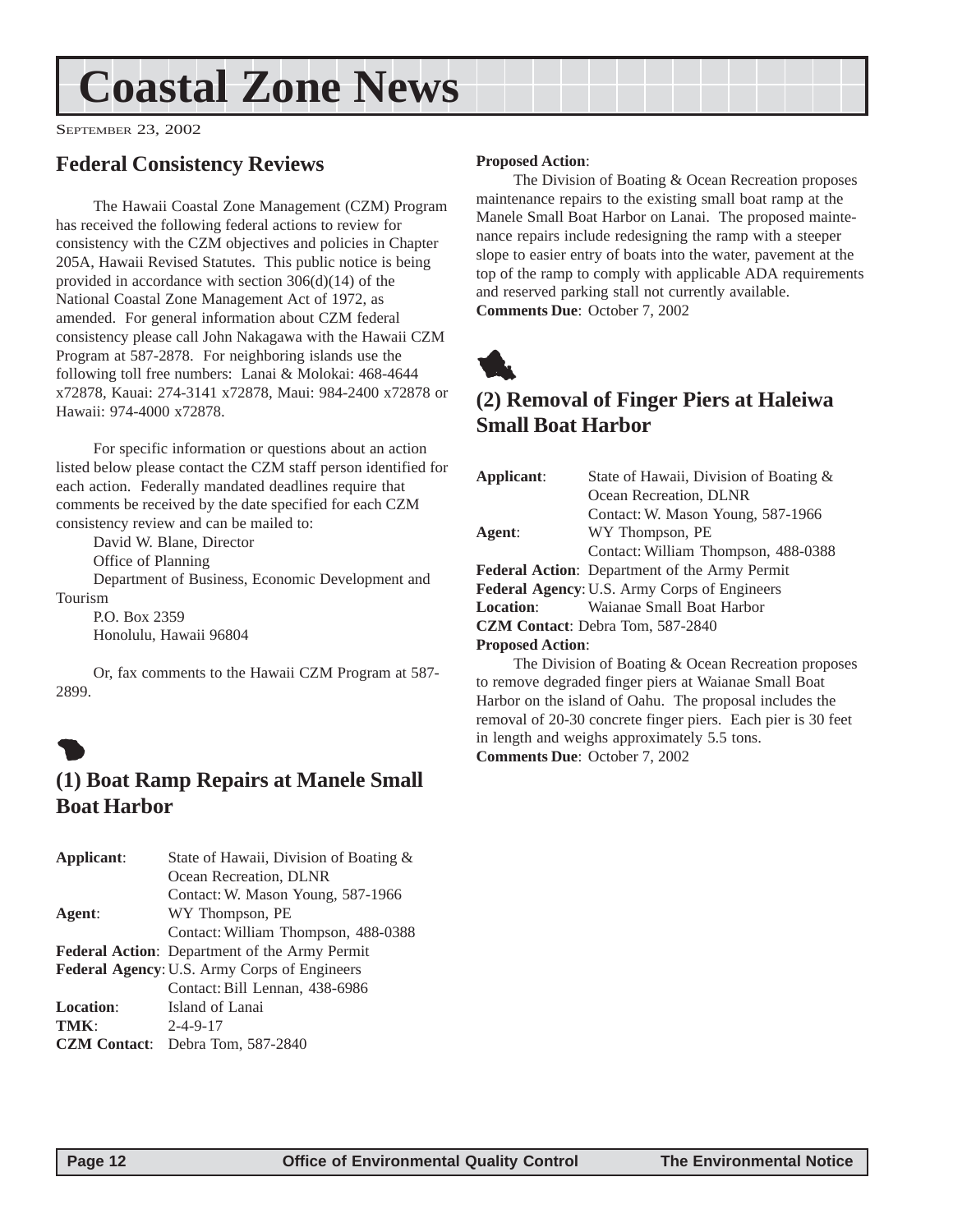# <span id="page-11-0"></span>**Coastal Zone News**

SEPTEMBER 23, 2002

## **Federal Consistency Reviews**

The Hawaii Coastal Zone Management (CZM) Program has received the following federal actions to review for consistency with the CZM objectives and policies in Chapter 205A, Hawaii Revised Statutes. This public notice is being provided in accordance with section 306(d)(14) of the National Coastal Zone Management Act of 1972, as amended. For general information about CZM federal consistency please call John Nakagawa with the Hawaii CZM Program at 587-2878. For neighboring islands use the following toll free numbers: Lanai & Molokai: 468-4644 x72878, Kauai: 274-3141 x72878, Maui: 984-2400 x72878 or Hawaii: 974-4000 x72878.

For specific information or questions about an action listed below please contact the CZM staff person identified for each action. Federally mandated deadlines require that comments be received by the date specified for each CZM consistency review and can be mailed to:

David W. Blane, Director

Office of Planning

Department of Business, Economic Development and Tourism

P.O. Box 2359 Honolulu, Hawaii 96804

Or, fax comments to the Hawaii CZM Program at 587- 2899.

# $\bullet$

## **(1) Boat Ramp Repairs at Manele Small Boat Harbor**

| Applicant:          | State of Hawaii, Division of Boating $\&$            |
|---------------------|------------------------------------------------------|
|                     | Ocean Recreation, DLNR                               |
|                     | Contact: W. Mason Young, 587-1966                    |
| Agent:              | WY Thompson, PE                                      |
|                     | Contact: William Thompson, 488-0388                  |
|                     | <b>Federal Action:</b> Department of the Army Permit |
|                     | Federal Agency: U.S. Army Corps of Engineers         |
|                     | Contact: Bill Lennan, 438-6986                       |
| <b>Location:</b>    | Island of Lanai                                      |
| TMK:                | $2 - 4 - 9 - 17$                                     |
| <b>CZM</b> Contact: | Debra Tom, 587-2840                                  |

#### **Proposed Action**:

The Division of Boating & Ocean Recreation proposes maintenance repairs to the existing small boat ramp at the Manele Small Boat Harbor on Lanai. The proposed maintenance repairs include redesigning the ramp with a steeper slope to easier entry of boats into the water, pavement at the top of the ramp to comply with applicable ADA requirements and reserved parking stall not currently available. **Comments Due**: October 7, 2002



## **(2) Removal of Finger Piers at Haleiwa Small Boat Harbor**

| Applicant:              | State of Hawaii, Division of Boating &               |
|-------------------------|------------------------------------------------------|
|                         | Ocean Recreation, DLNR                               |
|                         | Contact: W. Mason Young, 587-1966                    |
| Agent:                  | WY Thompson, PE                                      |
|                         | Contact: William Thompson, 488-0388                  |
|                         | <b>Federal Action:</b> Department of the Army Permit |
|                         | <b>Federal Agency: U.S. Army Corps of Engineers</b>  |
| <b>Location:</b>        | Waianae Small Boat Harbor                            |
|                         | <b>CZM Contact:</b> Debra Tom, 587-2840              |
| <b>Proposed Action:</b> |                                                      |
|                         | The Division of Boating & Ocean Recreation proposes  |
|                         |                                                      |

to remove degraded finger piers at Waianae Small Boat Harbor on the island of Oahu. The proposal includes the removal of 20-30 concrete finger piers. Each pier is 30 feet in length and weighs approximately 5.5 tons. **Comments Due**: October 7, 2002